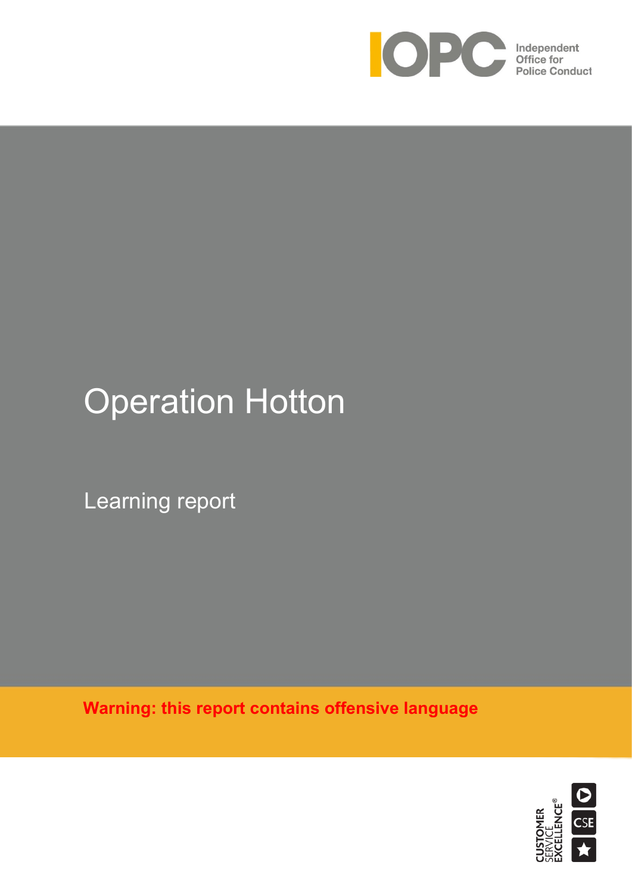

# Jperat Operation Hotton

Learning report and the settlement

í

**Warning: this report contains offensive language**

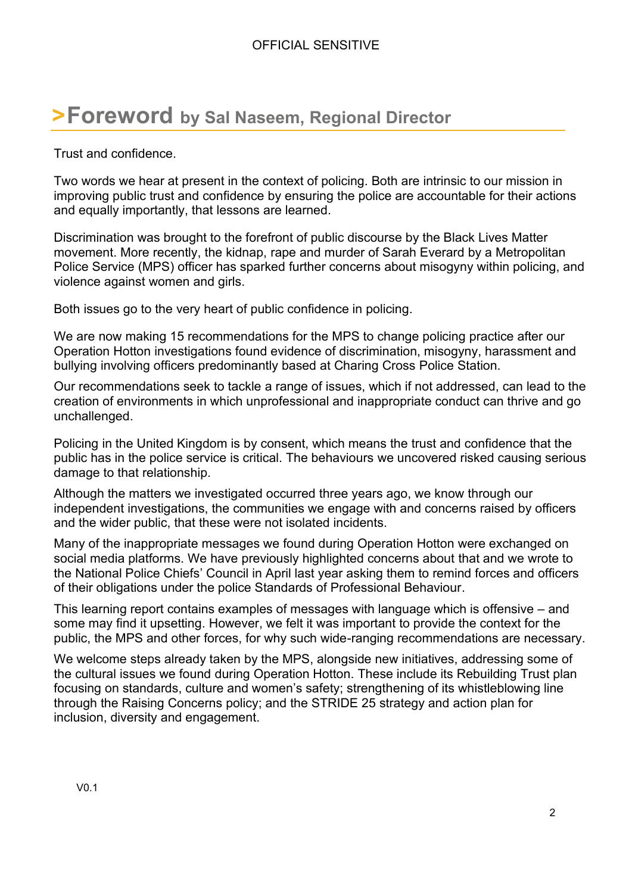# **>Foreword by Sal Naseem, Regional Director**

Trust and confidence.

Two words we hear at present in the context of policing. Both are intrinsic to our mission in improving public trust and confidence by ensuring the police are accountable for their actions and equally importantly, that lessons are learned.

Discrimination was brought to the forefront of public discourse by the Black Lives Matter movement. More recently, the kidnap, rape and murder of Sarah Everard by a Metropolitan Police Service (MPS) officer has sparked further concerns about misogyny within policing, and violence against women and girls.

Both issues go to the very heart of public confidence in policing.

We are now making 15 recommendations for the MPS to change policing practice after our Operation Hotton investigations found evidence of discrimination, misogyny, harassment and bullying involving officers predominantly based at Charing Cross Police Station.

Our recommendations seek to tackle a range of issues, which if not addressed, can lead to the creation of environments in which unprofessional and inappropriate conduct can thrive and go unchallenged.

Policing in the United Kingdom is by consent, which means the trust and confidence that the public has in the police service is critical. The behaviours we uncovered risked causing serious damage to that relationship.

Although the matters we investigated occurred three years ago, we know through our independent investigations, the communities we engage with and concerns raised by officers and the wider public, that these were not isolated incidents.

Many of the inappropriate messages we found during Operation Hotton were exchanged on social media platforms. We have previously highlighted concerns about that and we wrote to the National Police Chiefs' Council in April last year asking them to remind forces and officers of their obligations under the police Standards of Professional Behaviour.

This learning report contains examples of messages with language which is offensive – and some may find it upsetting. However, we felt it was important to provide the context for the public, the MPS and other forces, for why such wide-ranging recommendations are necessary.

We welcome steps already taken by the MPS, alongside new initiatives, addressing some of the cultural issues we found during Operation Hotton. These include its Rebuilding Trust plan focusing on standards, culture and women's safety; strengthening of its whistleblowing line through the Raising Concerns policy; and the STRIDE 25 strategy and action plan for inclusion, diversity and engagement.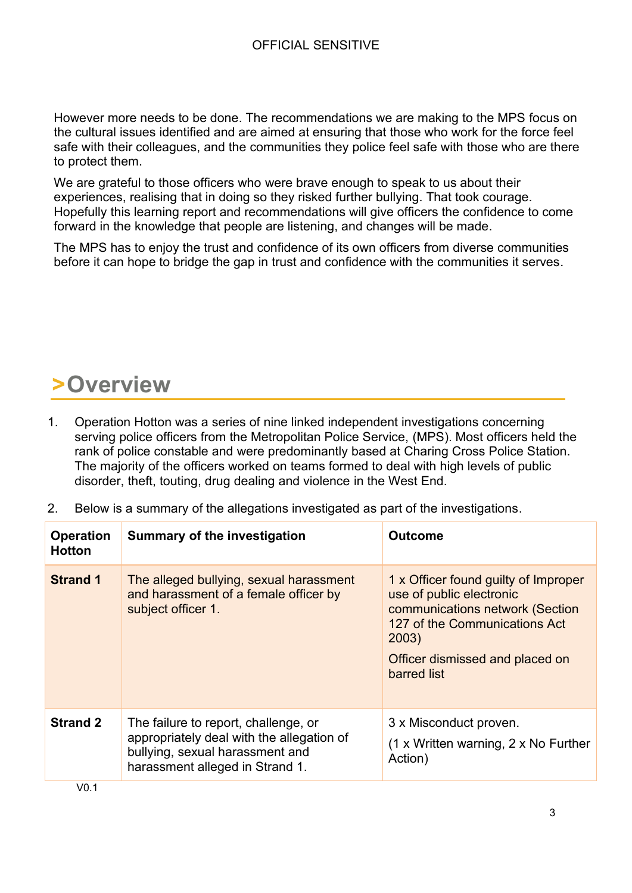However more needs to be done. The recommendations we are making to the MPS focus on the cultural issues identified and are aimed at ensuring that those who work for the force feel safe with their colleagues, and the communities they police feel safe with those who are there to protect them.

We are grateful to those officers who were brave enough to speak to us about their experiences, realising that in doing so they risked further bullying. That took courage. Hopefully this learning report and recommendations will give officers the confidence to come forward in the knowledge that people are listening, and changes will be made.

The MPS has to enjoy the trust and confidence of its own officers from diverse communities before it can hope to bridge the gap in trust and confidence with the communities it serves.

# **>Overview**

- 1. Operation Hotton was a series of nine linked independent investigations concerning serving police officers from the Metropolitan Police Service, (MPS). Most officers held the rank of police constable and were predominantly based at Charing Cross Police Station. The majority of the officers worked on teams formed to deal with high levels of public disorder, theft, touting, drug dealing and violence in the West End.
- 2. Below is a summary of the allegations investigated as part of the investigations.

| <b>Operation</b><br><b>Hotton</b> | <b>Summary of the investigation</b>                                                                                                                     | <b>Outcome</b>                                                                                                                                                                                  |
|-----------------------------------|---------------------------------------------------------------------------------------------------------------------------------------------------------|-------------------------------------------------------------------------------------------------------------------------------------------------------------------------------------------------|
| <b>Strand 1</b>                   | The alleged bullying, sexual harassment<br>and harassment of a female officer by<br>subject officer 1.                                                  | 1 x Officer found guilty of Improper<br>use of public electronic<br>communications network (Section<br>127 of the Communications Act<br>2003)<br>Officer dismissed and placed on<br>barred list |
| <b>Strand 2</b>                   | The failure to report, challenge, or<br>appropriately deal with the allegation of<br>bullying, sexual harassment and<br>harassment alleged in Strand 1. | 3 x Misconduct proven.<br>$(1 \times$ Written warning, 2 x No Further<br>Action)                                                                                                                |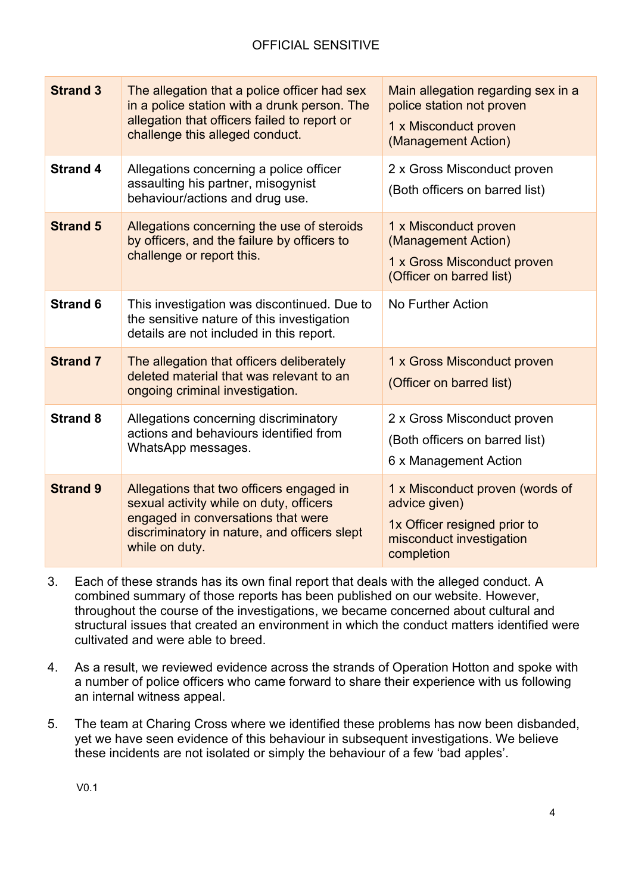| <b>Strand 3</b> | The allegation that a police officer had sex<br>in a police station with a drunk person. The<br>allegation that officers failed to report or<br>challenge this alleged conduct.             | Main allegation regarding sex in a<br>police station not proven<br>1 x Misconduct proven<br>(Management Action)            |
|-----------------|---------------------------------------------------------------------------------------------------------------------------------------------------------------------------------------------|----------------------------------------------------------------------------------------------------------------------------|
| <b>Strand 4</b> | Allegations concerning a police officer<br>assaulting his partner, misogynist<br>behaviour/actions and drug use.                                                                            | 2 x Gross Misconduct proven<br>(Both officers on barred list)                                                              |
| <b>Strand 5</b> | Allegations concerning the use of steroids<br>by officers, and the failure by officers to<br>challenge or report this.                                                                      | 1 x Misconduct proven<br>(Management Action)<br>1 x Gross Misconduct proven<br>(Officer on barred list)                    |
| <b>Strand 6</b> | This investigation was discontinued. Due to<br>the sensitive nature of this investigation<br>details are not included in this report.                                                       | <b>No Further Action</b>                                                                                                   |
| <b>Strand 7</b> | The allegation that officers deliberately<br>deleted material that was relevant to an<br>ongoing criminal investigation.                                                                    | 1 x Gross Misconduct proven<br>(Officer on barred list)                                                                    |
| <b>Strand 8</b> | Allegations concerning discriminatory<br>actions and behaviours identified from<br>WhatsApp messages.                                                                                       | 2 x Gross Misconduct proven<br>(Both officers on barred list)<br>6 x Management Action                                     |
| <b>Strand 9</b> | Allegations that two officers engaged in<br>sexual activity while on duty, officers<br>engaged in conversations that were<br>discriminatory in nature, and officers slept<br>while on duty. | 1 x Misconduct proven (words of<br>advice given)<br>1x Officer resigned prior to<br>misconduct investigation<br>completion |

- 3. Each of these strands has its own final report that deals with the alleged conduct. A combined summary of those reports has been published on our website. However, throughout the course of the investigations, we became concerned about cultural and structural issues that created an environment in which the conduct matters identified were cultivated and were able to breed.
- 4. As a result, we reviewed evidence across the strands of Operation Hotton and spoke with a number of police officers who came forward to share their experience with us following an internal witness appeal.
- 5. The team at Charing Cross where we identified these problems has now been disbanded, yet we have seen evidence of this behaviour in subsequent investigations. We believe these incidents are not isolated or simply the behaviour of a few 'bad apples'.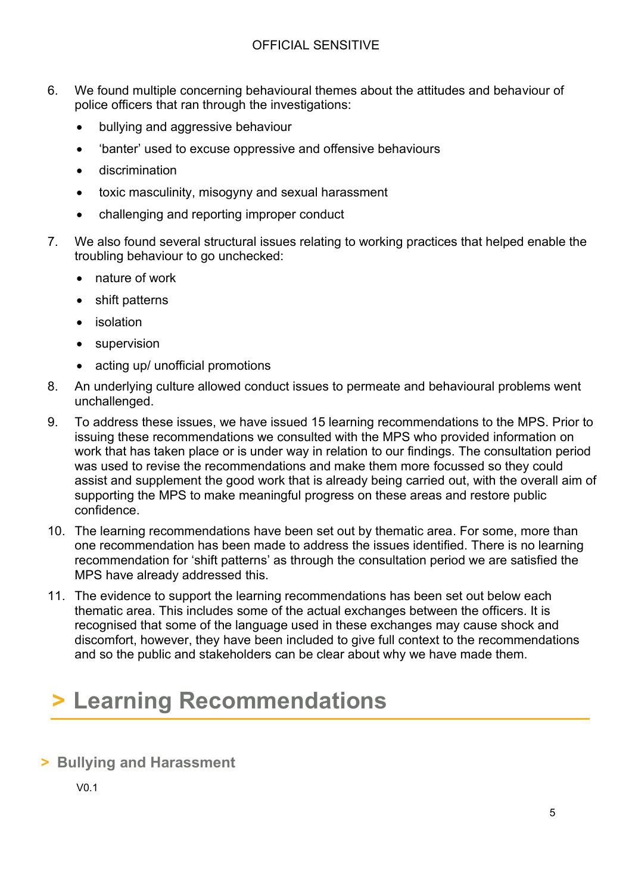- 6. We found multiple concerning behavioural themes about the attitudes and behaviour of police officers that ran through the investigations:
	- bullying and aggressive behaviour
	- 'banter' used to excuse oppressive and offensive behaviours
	- discrimination
	- toxic masculinity, misogyny and sexual harassment
	- challenging and reporting improper conduct
- 7. We also found several structural issues relating to working practices that helped enable the troubling behaviour to go unchecked:
	- nature of work
	- shift patterns
	- isolation
	- supervision
	- acting up/ unofficial promotions
- 8. An underlying culture allowed conduct issues to permeate and behavioural problems went unchallenged.
- 9. To address these issues, we have issued 15 learning recommendations to the MPS. Prior to issuing these recommendations we consulted with the MPS who provided information on work that has taken place or is under way in relation to our findings. The consultation period was used to revise the recommendations and make them more focussed so they could assist and supplement the good work that is already being carried out, with the overall aim of supporting the MPS to make meaningful progress on these areas and restore public confidence.
- 10. The learning recommendations have been set out by thematic area. For some, more than one recommendation has been made to address the issues identified. There is no learning recommendation for 'shift patterns' as through the consultation period we are satisfied the MPS have already addressed this.
- 11. The evidence to support the learning recommendations has been set out below each thematic area. This includes some of the actual exchanges between the officers. It is recognised that some of the language used in these exchanges may cause shock and discomfort, however, they have been included to give full context to the recommendations and so the public and stakeholders can be clear about why we have made them.

# **> Learning Recommendations**

# **> Bullying and Harassment**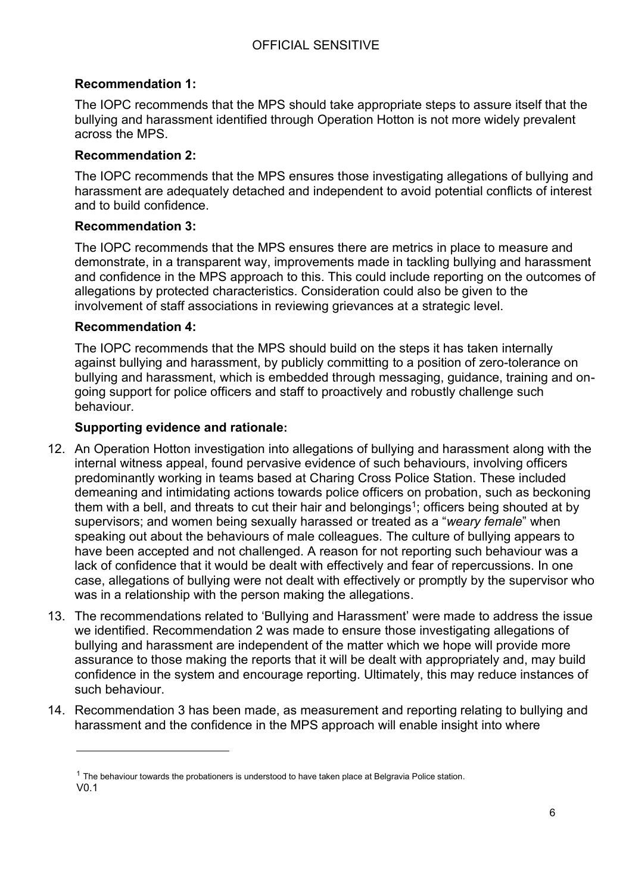#### **Recommendation 1:**

The IOPC recommends that the MPS should take appropriate steps to assure itself that the bullying and harassment identified through Operation Hotton is not more widely prevalent across the MPS.

#### **Recommendation 2:**

The IOPC recommends that the MPS ensures those investigating allegations of bullying and harassment are adequately detached and independent to avoid potential conflicts of interest and to build confidence.

#### **Recommendation 3:**

The IOPC recommends that the MPS ensures there are metrics in place to measure and demonstrate, in a transparent way, improvements made in tackling bullying and harassment and confidence in the MPS approach to this. This could include reporting on the outcomes of allegations by protected characteristics. Consideration could also be given to the involvement of staff associations in reviewing grievances at a strategic level.

#### **Recommendation 4:**

The IOPC recommends that the MPS should build on the steps it has taken internally against bullying and harassment, by publicly committing to a position of zero-tolerance on bullying and harassment, which is embedded through messaging, guidance, training and ongoing support for police officers and staff to proactively and robustly challenge such behaviour.

#### **Supporting evidence and rationale:**

- 12. An Operation Hotton investigation into allegations of bullying and harassment along with the internal witness appeal, found pervasive evidence of such behaviours, involving officers predominantly working in teams based at Charing Cross Police Station. These included demeaning and intimidating actions towards police officers on probation, such as beckoning them with a bell, and threats to cut their hair and belongings<sup>1</sup>; officers being shouted at by supervisors; and women being sexually harassed or treated as a "*weary female*" when speaking out about the behaviours of male colleagues. The culture of bullying appears to have been accepted and not challenged. A reason for not reporting such behaviour was a lack of confidence that it would be dealt with effectively and fear of repercussions. In one case, allegations of bullying were not dealt with effectively or promptly by the supervisor who was in a relationship with the person making the allegations.
- 13. The recommendations related to 'Bullying and Harassment' were made to address the issue we identified. Recommendation 2 was made to ensure those investigating allegations of bullying and harassment are independent of the matter which we hope will provide more assurance to those making the reports that it will be dealt with appropriately and, may build confidence in the system and encourage reporting. Ultimately, this may reduce instances of such behaviour.
- 14. Recommendation 3 has been made, as measurement and reporting relating to bullying and harassment and the confidence in the MPS approach will enable insight into where

V0.1 <sup>1</sup> The behaviour towards the probationers is understood to have taken place at Belgravia Police station.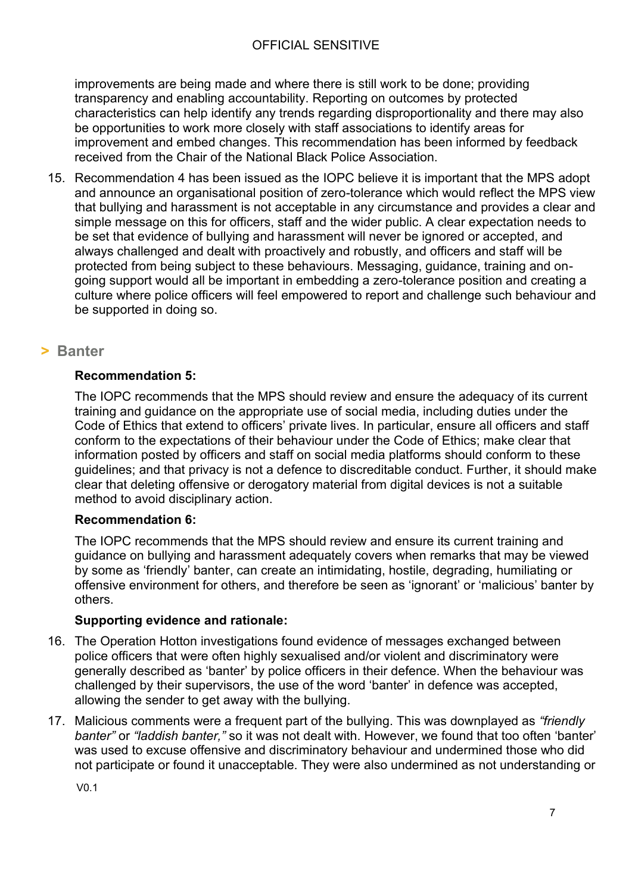improvements are being made and where there is still work to be done; providing transparency and enabling accountability. Reporting on outcomes by protected characteristics can help identify any trends regarding disproportionality and there may also be opportunities to work more closely with staff associations to identify areas for improvement and embed changes. This recommendation has been informed by feedback received from the Chair of the National Black Police Association.

15. Recommendation 4 has been issued as the IOPC believe it is important that the MPS adopt and announce an organisational position of zero-tolerance which would reflect the MPS view that bullying and harassment is not acceptable in any circumstance and provides a clear and simple message on this for officers, staff and the wider public. A clear expectation needs to be set that evidence of bullying and harassment will never be ignored or accepted, and always challenged and dealt with proactively and robustly, and officers and staff will be protected from being subject to these behaviours. Messaging, guidance, training and ongoing support would all be important in embedding a zero-tolerance position and creating a culture where police officers will feel empowered to report and challenge such behaviour and be supported in doing so.

# **> Banter**

## **Recommendation 5:**

The IOPC recommends that the MPS should review and ensure the adequacy of its current training and guidance on the appropriate use of social media, including duties under the Code of Ethics that extend to officers' private lives. In particular, ensure all officers and staff conform to the expectations of their behaviour under the Code of Ethics; make clear that information posted by officers and staff on social media platforms should conform to these guidelines; and that privacy is not a defence to discreditable conduct. Further, it should make clear that deleting offensive or derogatory material from digital devices is not a suitable method to avoid disciplinary action.

## **Recommendation 6:**

The IOPC recommends that the MPS should review and ensure its current training and guidance on bullying and harassment adequately covers when remarks that may be viewed by some as 'friendly' banter, can create an intimidating, hostile, degrading, humiliating or offensive environment for others, and therefore be seen as 'ignorant' or 'malicious' banter by others.

## **Supporting evidence and rationale:**

- 16. The Operation Hotton investigations found evidence of messages exchanged between police officers that were often highly sexualised and/or violent and discriminatory were generally described as 'banter' by police officers in their defence. When the behaviour was challenged by their supervisors, the use of the word 'banter' in defence was accepted, allowing the sender to get away with the bullying.
- 17. Malicious comments were a frequent part of the bullying. This was downplayed as *"friendly banter"* or *"laddish banter,"* so it was not dealt with. However, we found that too often 'banter' was used to excuse offensive and discriminatory behaviour and undermined those who did not participate or found it unacceptable. They were also undermined as not understanding or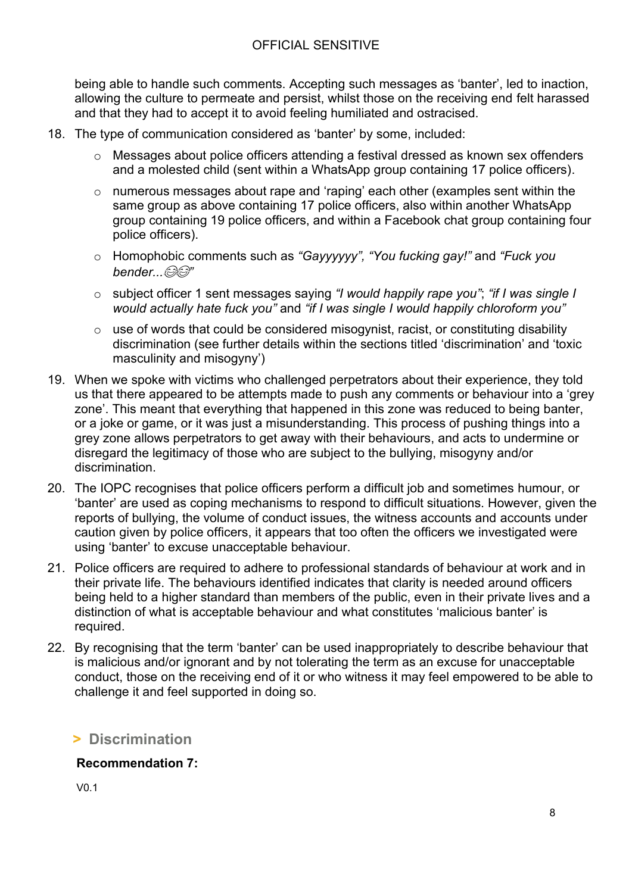being able to handle such comments. Accepting such messages as 'banter', led to inaction, allowing the culture to permeate and persist, whilst those on the receiving end felt harassed and that they had to accept it to avoid feeling humiliated and ostracised.

- 18. The type of communication considered as 'banter' by some, included:
	- o Messages about police officers attending a festival dressed as known sex offenders and a molested child (sent within a WhatsApp group containing 17 police officers).
	- o numerous messages about rape and 'raping' each other (examples sent within the same group as above containing 17 police officers, also within another WhatsApp group containing 19 police officers, and within a Facebook chat group containing four police officers).
	- o Homophobic comments such as *"Gayyyyyy", "You fucking gay!"* and *"Fuck you*  **bender...**<sup> $\odot$ </sup>
	- o subject officer 1 sent messages saying *"I would happily rape you"*; *"if I was single I would actually hate fuck you"* and *"if I was single I would happily chloroform you"*
	- $\circ$  use of words that could be considered misogynist, racist, or constituting disability discrimination (see further details within the sections titled 'discrimination' and 'toxic masculinity and misogyny')
- 19. When we spoke with victims who challenged perpetrators about their experience, they told us that there appeared to be attempts made to push any comments or behaviour into a 'grey zone'. This meant that everything that happened in this zone was reduced to being banter, or a joke or game, or it was just a misunderstanding. This process of pushing things into a grey zone allows perpetrators to get away with their behaviours, and acts to undermine or disregard the legitimacy of those who are subject to the bullying, misogyny and/or discrimination.
- 20. The IOPC recognises that police officers perform a difficult job and sometimes humour, or 'banter' are used as coping mechanisms to respond to difficult situations. However, given the reports of bullying, the volume of conduct issues, the witness accounts and accounts under caution given by police officers, it appears that too often the officers we investigated were using 'banter' to excuse unacceptable behaviour.
- 21. Police officers are required to adhere to professional standards of behaviour at work and in their private life. The behaviours identified indicates that clarity is needed around officers being held to a higher standard than members of the public, even in their private lives and a distinction of what is acceptable behaviour and what constitutes 'malicious banter' is required.
- 22. By recognising that the term 'banter' can be used inappropriately to describe behaviour that is malicious and/or ignorant and by not tolerating the term as an excuse for unacceptable conduct, those on the receiving end of it or who witness it may feel empowered to be able to challenge it and feel supported in doing so.

# **> Discrimination**

# **Recommendation 7:**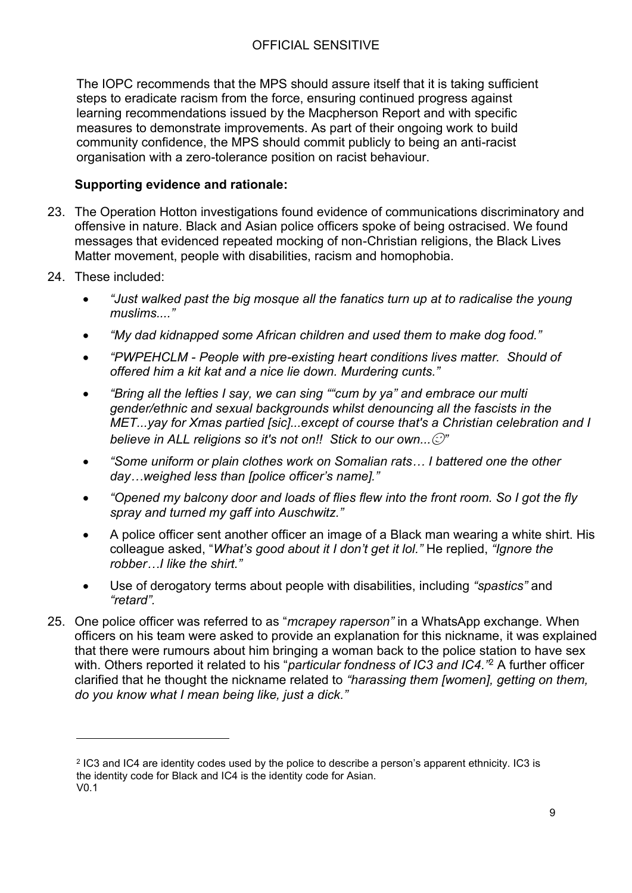The IOPC recommends that the MPS should assure itself that it is taking sufficient steps to eradicate racism from the force, ensuring continued progress against learning recommendations issued by the Macpherson Report and with specific measures to demonstrate improvements. As part of their ongoing work to build community confidence, the MPS should commit publicly to being an anti-racist organisation with a zero-tolerance position on racist behaviour.

## **Supporting evidence and rationale:**

- 23. The Operation Hotton investigations found evidence of communications discriminatory and offensive in nature. Black and Asian police officers spoke of being ostracised. We found messages that evidenced repeated mocking of non-Christian religions, the Black Lives Matter movement, people with disabilities, racism and homophobia.
- 24. These included:
	- *"Just walked past the big mosque all the fanatics turn up at to radicalise the young muslims...."*
	- *"My dad kidnapped some African children and used them to make dog food."*
	- *"PWPEHCLM - People with pre-existing heart conditions lives matter. Should of offered him a kit kat and a nice lie down. Murdering cunts."*
	- *"Bring all the lefties I say, we can sing ""cum by ya" and embrace our multi gender/ethnic and sexual backgrounds whilst denouncing all the fascists in the MET...yay for Xmas partied [sic]...except of course that's a Christian celebration and I believe in ALL religions so it's not on!! Stick to our own..."*
	- *"Some uniform or plain clothes work on Somalian rats… I battered one the other day…weighed less than [police officer's name]."*
	- *"Opened my balcony door and loads of flies flew into the front room. So I got the fly spray and turned my gaff into Auschwitz."*
	- A police officer sent another officer an image of a Black man wearing a white shirt. His colleague asked, "*What's good about it I don't get it lol."* He replied, *"Ignore the robber…I like the shirt."*
	- Use of derogatory terms about people with disabilities, including *"spastics"* and *"retard".*
- 25. One police officer was referred to as "*mcrapey raperson"* in a WhatsApp exchange*.* When officers on his team were asked to provide an explanation for this nickname, it was explained that there were rumours about him bringing a woman back to the police station to have sex with. Others reported it related to his "*particular fondness of IC3 and IC4."*<sup>2</sup> A further officer clarified that he thought the nickname related to *"harassing them [women], getting on them, do you know what I mean being like, just a dick."*

V0.1 2 IC3 and IC4 are identity codes used by the police to describe a person's apparent ethnicity. IC3 is the identity code for Black and IC4 is the identity code for Asian.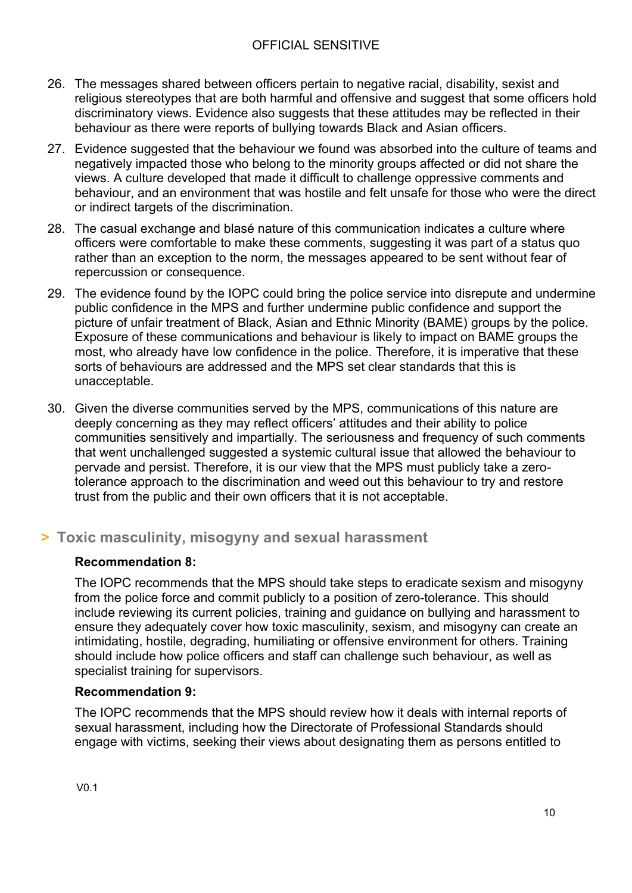- 26. The messages shared between officers pertain to negative racial, disability, sexist and religious stereotypes that are both harmful and offensive and suggest that some officers hold discriminatory views. Evidence also suggests that these attitudes may be reflected in their behaviour as there were reports of bullying towards Black and Asian officers.
- 27. Evidence suggested that the behaviour we found was absorbed into the culture of teams and negatively impacted those who belong to the minority groups affected or did not share the views. A culture developed that made it difficult to challenge oppressive comments and behaviour, and an environment that was hostile and felt unsafe for those who were the direct or indirect targets of the discrimination.
- 28. The casual exchange and blasé nature of this communication indicates a culture where officers were comfortable to make these comments, suggesting it was part of a status quo rather than an exception to the norm, the messages appeared to be sent without fear of repercussion or consequence.
- 29. The evidence found by the IOPC could bring the police service into disrepute and undermine public confidence in the MPS and further undermine public confidence and support the picture of unfair treatment of Black, Asian and Ethnic Minority (BAME) groups by the police. Exposure of these communications and behaviour is likely to impact on BAME groups the most, who already have low confidence in the police. Therefore, it is imperative that these sorts of behaviours are addressed and the MPS set clear standards that this is unacceptable.
- 30. Given the diverse communities served by the MPS, communications of this nature are deeply concerning as they may reflect officers' attitudes and their ability to police communities sensitively and impartially. The seriousness and frequency of such comments that went unchallenged suggested a systemic cultural issue that allowed the behaviour to pervade and persist. Therefore, it is our view that the MPS must publicly take a zerotolerance approach to the discrimination and weed out this behaviour to try and restore trust from the public and their own officers that it is not acceptable.

# **> Toxic masculinity, misogyny and sexual harassment**

#### **Recommendation 8:**

The IOPC recommends that the MPS should take steps to eradicate sexism and misogyny from the police force and commit publicly to a position of zero-tolerance. This should include reviewing its current policies, training and guidance on bullying and harassment to ensure they adequately cover how toxic masculinity, sexism, and misogyny can create an intimidating, hostile, degrading, humiliating or offensive environment for others. Training should include how police officers and staff can challenge such behaviour, as well as specialist training for supervisors.

#### **Recommendation 9:**

The IOPC recommends that the MPS should review how it deals with internal reports of sexual harassment, including how the Directorate of Professional Standards should engage with victims, seeking their views about designating them as persons entitled to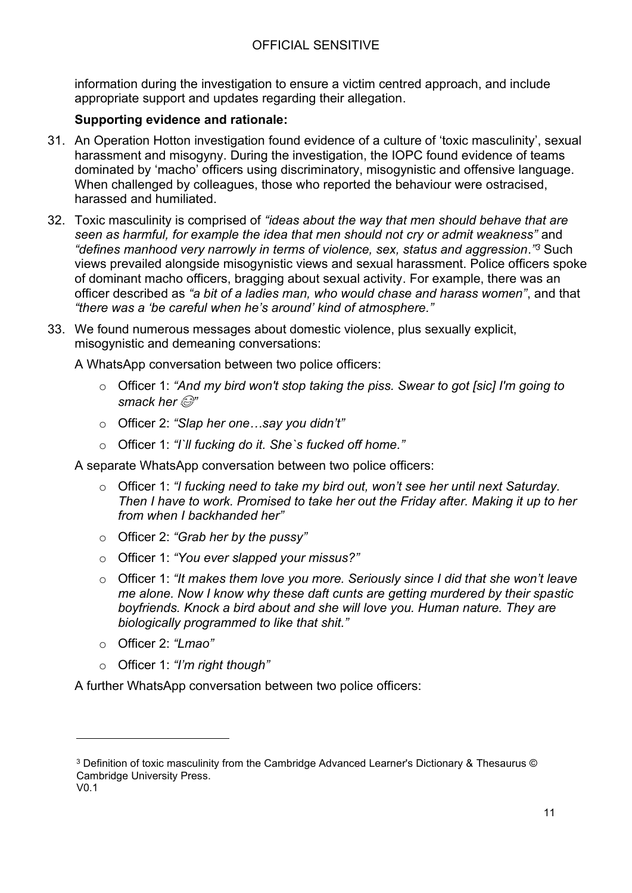information during the investigation to ensure a victim centred approach, and include appropriate support and updates regarding their allegation.

## **Supporting evidence and rationale:**

- 31. An Operation Hotton investigation found evidence of a culture of 'toxic masculinity', sexual harassment and misogyny. During the investigation, the IOPC found evidence of teams dominated by 'macho' officers using discriminatory, misogynistic and offensive language. When challenged by colleagues, those who reported the behaviour were ostracised, harassed and humiliated.
- 32. Toxic masculinity is comprised of *"ideas about the way that men should behave that are seen as harmful, for example the idea that men should not cry or admit weakness"* and *"defines manhood very narrowly in terms of violence, sex, status and aggression*.*" <sup>3</sup>* Such views prevailed alongside misogynistic views and sexual harassment. Police officers spoke of dominant macho officers, bragging about sexual activity. For example, there was an officer described as *"a bit of a ladies man, who would chase and harass women"*, and that *"there was a 'be careful when he's around' kind of atmosphere."*
- 33. We found numerous messages about domestic violence, plus sexually explicit, misogynistic and demeaning conversations:

A WhatsApp conversation between two police officers:

- o Officer 1: *"And my bird won't stop taking the piss. Swear to got [sic] I'm going to smack her*  $\mathbb{P}$ "
- o Officer 2: *"Slap her one…say you didn't"*
- o Officer 1: *"I`ll fucking do it. She`s fucked off home."*

A separate WhatsApp conversation between two police officers:

- o Officer 1: *"I fucking need to take my bird out, won't see her until next Saturday. Then I have to work. Promised to take her out the Friday after. Making it up to her from when I backhanded her"*
- o Officer 2: *"Grab her by the pussy"*
- o Officer 1: *"You ever slapped your missus?"*
- o Officer 1: *"It makes them love you more. Seriously since I did that she won't leave me alone. Now I know why these daft cunts are getting murdered by their spastic boyfriends. Knock a bird about and she will love you. Human nature. They are biologically programmed to like that shit."*
- o Officer 2: *"Lmao"*
- o Officer 1: *"I'm right though"*

A further WhatsApp conversation between two police officers:

<sup>3</sup> Definition of toxic masculinity from the Cambridge Advanced Learner's Dictionary & Thesaurus © Cambridge University Press.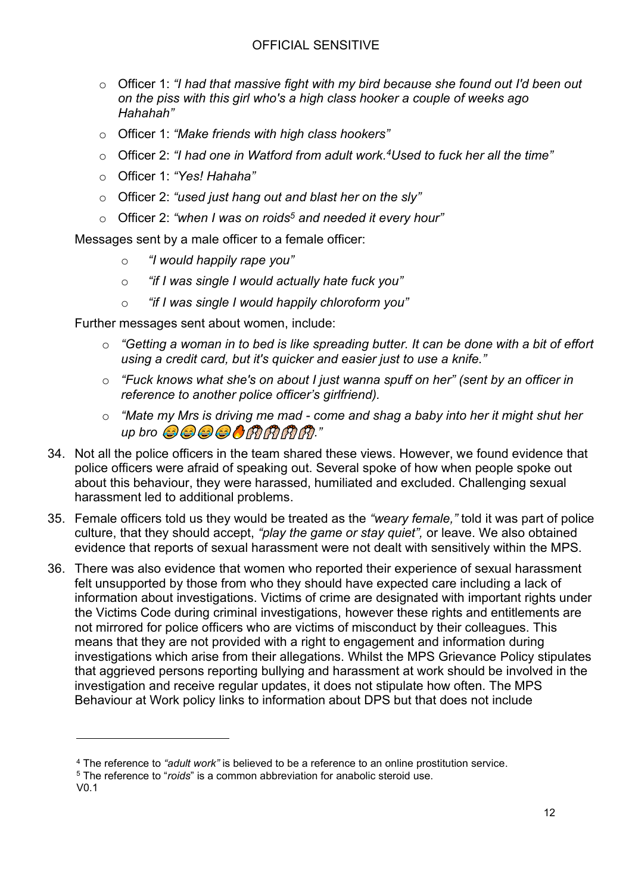- o Officer 1: *"I had that massive fight with my bird because she found out I'd been out on the piss with this girl who's a high class hooker a couple of weeks ago Hahahah"*
- o Officer 1: *"Make friends with high class hookers"*
- o Officer 2: *"I had one in Watford from adult work. <sup>4</sup>Used to fuck her all the time"*
- o Officer 1: *"Yes! Hahaha"*
- o Officer 2: *"used just hang out and blast her on the sly"*
- o Officer 2: *"when I was on roids<sup>5</sup> and needed it every hour"*

Messages sent by a male officer to a female officer:

- o *"I would happily rape you"*
- o *"if I was single I would actually hate fuck you"*
- o *"if I was single I would happily chloroform you"*

Further messages sent about women, include:

- o *"Getting a woman in to bed is like spreading butter. It can be done with a bit of effort using a credit card, but it's quicker and easier just to use a knife."*
- o *"Fuck knows what she's on about I just wanna spuff on her" (sent by an officer in reference to another police officer's girlfriend).*
- o *"Mate my Mrs is driving me mad - come and shag a baby into her it might shut her up bro <del>②③③③</del>●●作用用用用"*
- 34. Not all the police officers in the team shared these views. However, we found evidence that police officers were afraid of speaking out. Several spoke of how when people spoke out about this behaviour, they were harassed, humiliated and excluded. Challenging sexual harassment led to additional problems.
- 35. Female officers told us they would be treated as the *"weary female,"* told it was part of police culture, that they should accept, *"play the game or stay quiet",* or leave. We also obtained evidence that reports of sexual harassment were not dealt with sensitively within the MPS.
- 36. There was also evidence that women who reported their experience of sexual harassment felt unsupported by those from who they should have expected care including a lack of information about investigations. Victims of crime are designated with important rights under the Victims Code during criminal investigations, however these rights and entitlements are not mirrored for police officers who are victims of misconduct by their colleagues. This means that they are not provided with a right to engagement and information during investigations which arise from their allegations. Whilst the MPS Grievance Policy stipulates that aggrieved persons reporting bullying and harassment at work should be involved in the investigation and receive regular updates, it does not stipulate how often. The MPS Behaviour at Work policy links to information about DPS but that does not include

<sup>4</sup> The reference to *"adult work"* is believed to be a reference to an online prostitution service.

V0.1 <sup>5</sup> The reference to "*roids*" is a common abbreviation for anabolic steroid use.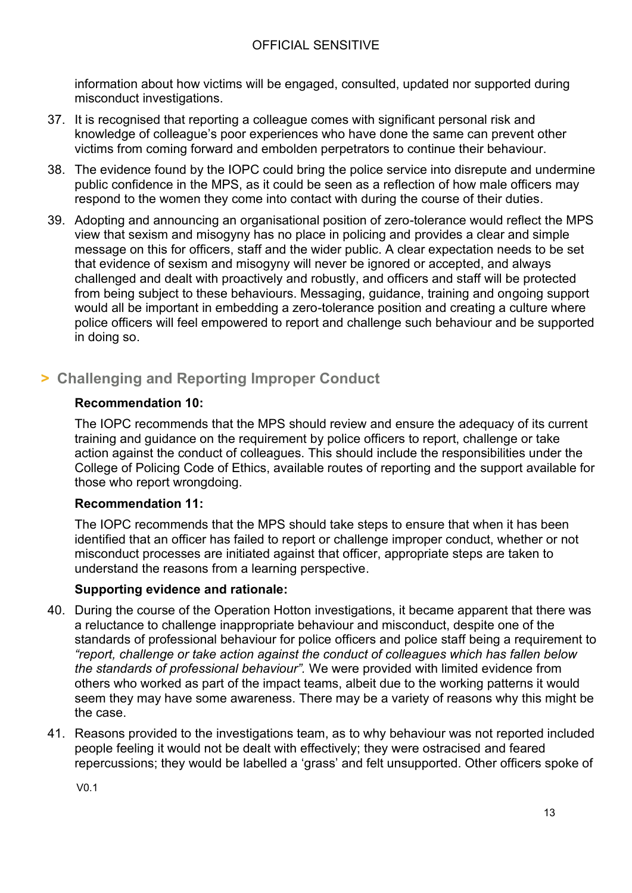information about how victims will be engaged, consulted, updated nor supported during misconduct investigations.

- 37. It is recognised that reporting a colleague comes with significant personal risk and knowledge of colleague's poor experiences who have done the same can prevent other victims from coming forward and embolden perpetrators to continue their behaviour.
- 38. The evidence found by the IOPC could bring the police service into disrepute and undermine public confidence in the MPS, as it could be seen as a reflection of how male officers may respond to the women they come into contact with during the course of their duties.
- 39. Adopting and announcing an organisational position of zero-tolerance would reflect the MPS view that sexism and misogyny has no place in policing and provides a clear and simple message on this for officers, staff and the wider public. A clear expectation needs to be set that evidence of sexism and misogyny will never be ignored or accepted, and always challenged and dealt with proactively and robustly, and officers and staff will be protected from being subject to these behaviours. Messaging, guidance, training and ongoing support would all be important in embedding a zero-tolerance position and creating a culture where police officers will feel empowered to report and challenge such behaviour and be supported in doing so.

# **> Challenging and Reporting Improper Conduct**

## **Recommendation 10:**

The IOPC recommends that the MPS should review and ensure the adequacy of its current training and guidance on the requirement by police officers to report, challenge or take action against the conduct of colleagues. This should include the responsibilities under the College of Policing Code of Ethics, available routes of reporting and the support available for those who report wrongdoing.

## **Recommendation 11:**

The IOPC recommends that the MPS should take steps to ensure that when it has been identified that an officer has failed to report or challenge improper conduct, whether or not misconduct processes are initiated against that officer, appropriate steps are taken to understand the reasons from a learning perspective.

# **Supporting evidence and rationale:**

- 40. During the course of the Operation Hotton investigations, it became apparent that there was a reluctance to challenge inappropriate behaviour and misconduct, despite one of the standards of professional behaviour for police officers and police staff being a requirement to *"report, challenge or take action against the conduct of colleagues which has fallen below the standards of professional behaviour".* We were provided with limited evidence from others who worked as part of the impact teams, albeit due to the working patterns it would seem they may have some awareness. There may be a variety of reasons why this might be the case.
- 41. Reasons provided to the investigations team, as to why behaviour was not reported included people feeling it would not be dealt with effectively; they were ostracised and feared repercussions; they would be labelled a 'grass' and felt unsupported. Other officers spoke of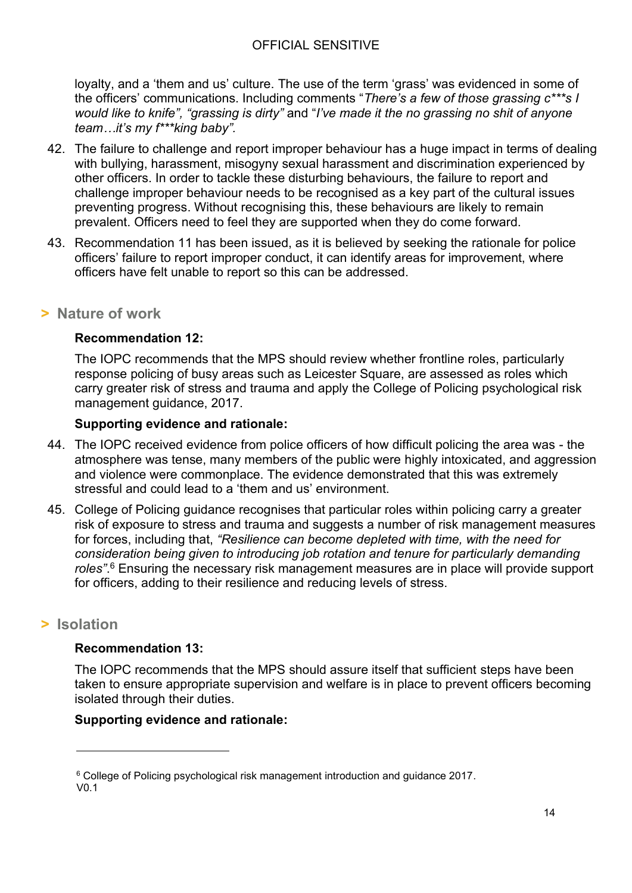loyalty, and a 'them and us' culture. The use of the term 'grass' was evidenced in some of the officers' communications. Including comments "*There's a few of those grassing c\*\*\*s I would like to knife", "grassing is dirty"* and "*I've made it the no grassing no shit of anyone team…it's my f\*\*\*king baby".*

- 42. The failure to challenge and report improper behaviour has a huge impact in terms of dealing with bullying, harassment, misogyny sexual harassment and discrimination experienced by other officers. In order to tackle these disturbing behaviours, the failure to report and challenge improper behaviour needs to be recognised as a key part of the cultural issues preventing progress. Without recognising this, these behaviours are likely to remain prevalent. Officers need to feel they are supported when they do come forward.
- 43. Recommendation 11 has been issued, as it is believed by seeking the rationale for police officers' failure to report improper conduct, it can identify areas for improvement, where officers have felt unable to report so this can be addressed.

# **> Nature of work**

#### **Recommendation 12:**

The IOPC recommends that the MPS should review whether frontline roles, particularly response policing of busy areas such as Leicester Square, are assessed as roles which carry greater risk of stress and trauma and apply the College of Policing psychological risk management guidance, 2017.

#### **Supporting evidence and rationale:**

- 44. The IOPC received evidence from police officers of how difficult policing the area was the atmosphere was tense, many members of the public were highly intoxicated, and aggression and violence were commonplace. The evidence demonstrated that this was extremely stressful and could lead to a 'them and us' environment.
- 45. College of Policing guidance recognises that particular roles within policing carry a greater risk of exposure to stress and trauma and suggests a number of risk management measures for forces, including that, *"Resilience can become depleted with time, with the need for consideration being given to introducing job rotation and tenure for particularly demanding roles"*. <sup>6</sup> Ensuring the necessary risk management measures are in place will provide support for officers, adding to their resilience and reducing levels of stress.

# **> Isolation**

## **Recommendation 13:**

The IOPC recommends that the MPS should assure itself that sufficient steps have been taken to ensure appropriate supervision and welfare is in place to prevent officers becoming isolated through their duties.

## **Supporting evidence and rationale:**

V0.1 <sup>6</sup> College of Policing psychological risk management introduction and guidance 2017.